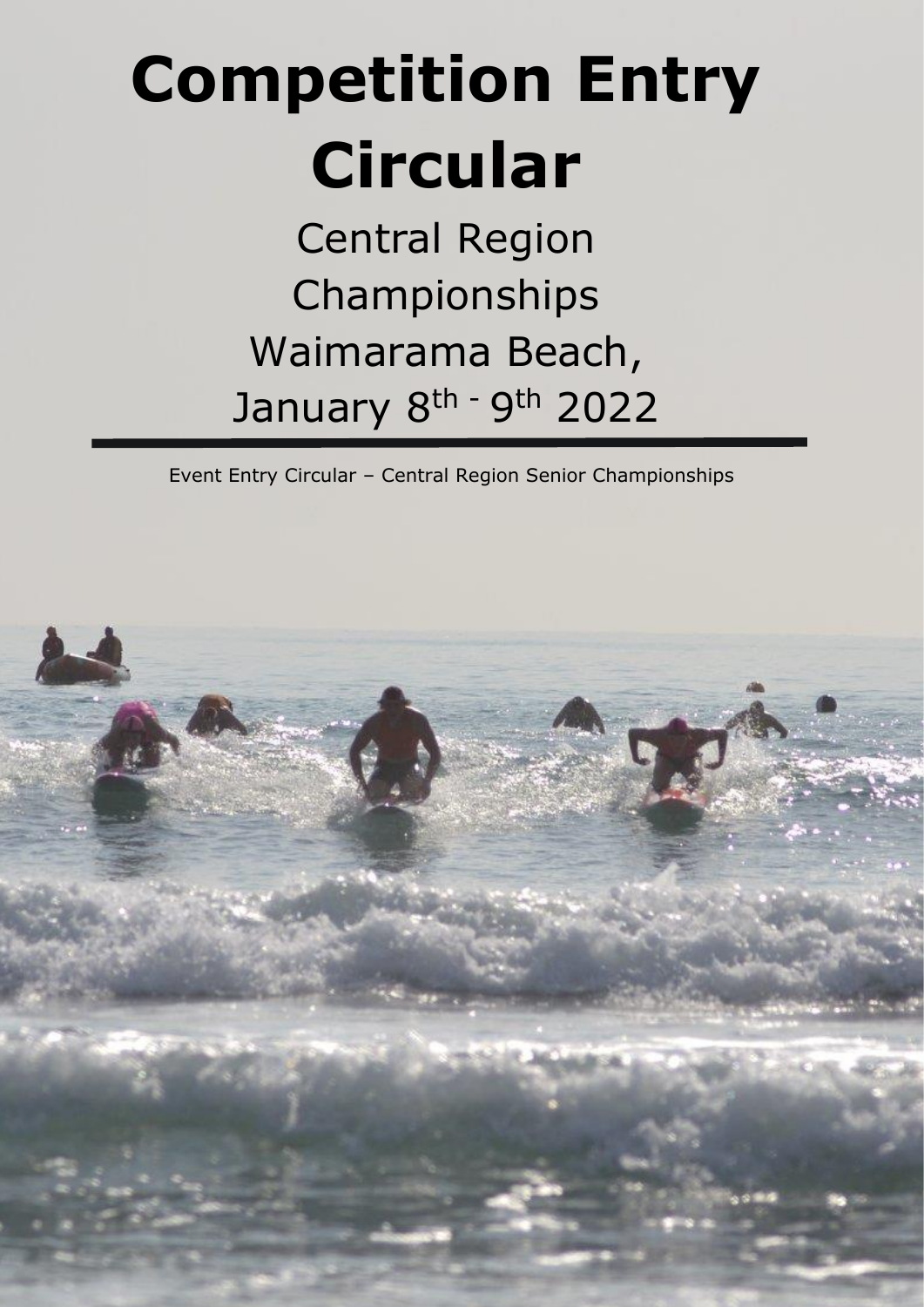# **Competition Entry Circular**

Central Region Championships Waimarama Beach, January 8<sup>th -</sup> 9<sup>th</sup> 2022

Event Entry Circular – Central Region Senior Championships

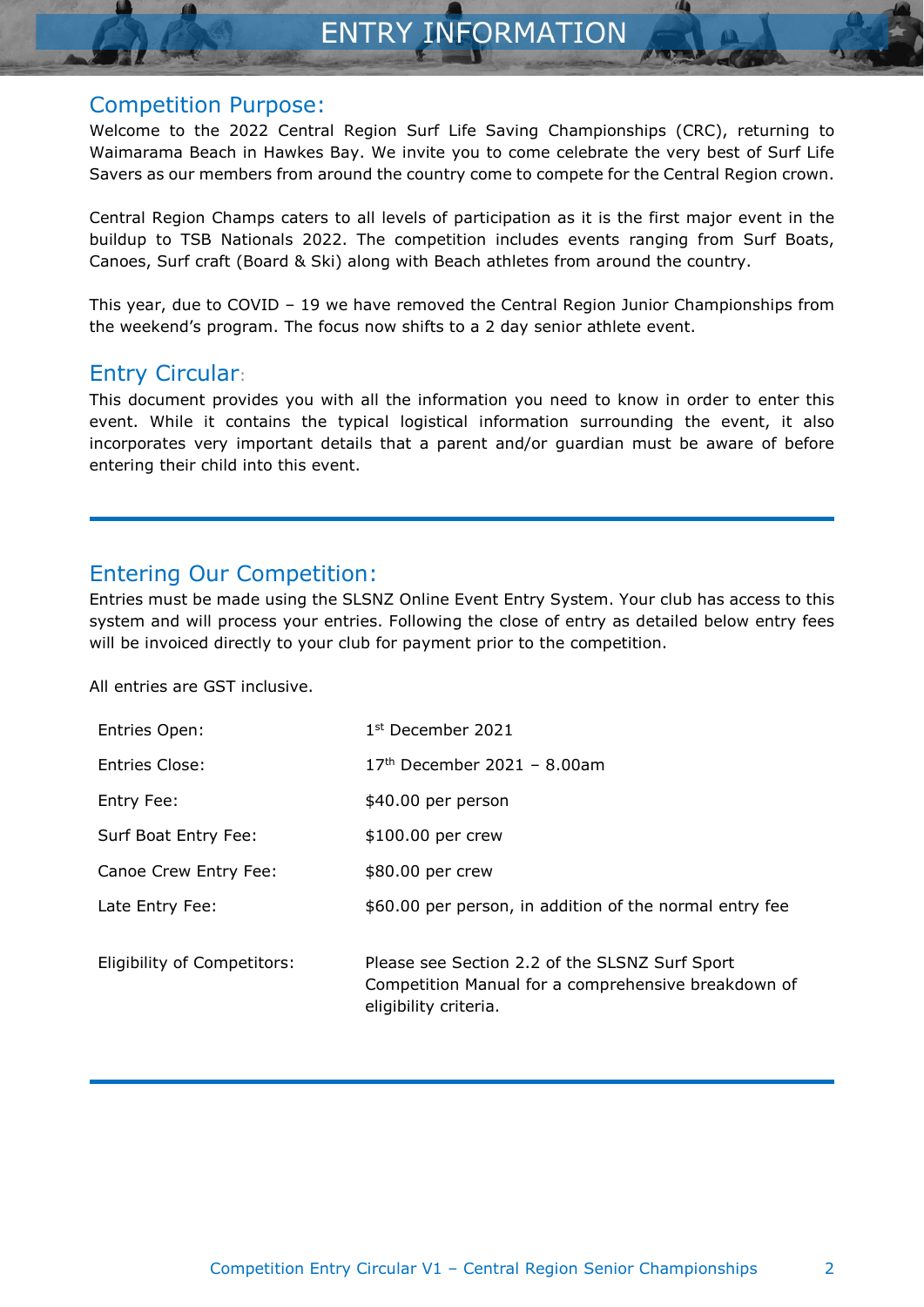### Competition Purpose:

Welcome to the 2022 Central Region Surf Life Saving Championships (CRC), returning to Waimarama Beach in Hawkes Bay. We invite you to come celebrate the very best of Surf Life Savers as our members from around the country come to compete for the Central Region crown.

Central Region Champs caters to all levels of participation as it is the first major event in the buildup to TSB Nationals 2022. The competition includes events ranging from Surf Boats, Canoes, Surf craft (Board & Ski) along with Beach athletes from around the country.

This year, due to COVID – 19 we have removed the Central Region Junior Championships from the weekend's program. The focus now shifts to a 2 day senior athlete event.

# Entry Circular:

This document provides you with all the information you need to know in order to enter this event. While it contains the typical logistical information surrounding the event, it also incorporates very important details that a parent and/or guardian must be aware of before entering their child into this event.

# Entering Our Competition:

Entries must be made using the SLSNZ Online Event Entry System. Your club has access to this system and will process your entries. Following the close of entry as detailed below entry fees will be invoiced directly to your club for payment prior to the competition.

All entries are GST inclusive.

| $17th$ December 2021 - 8.00am<br>Entries Close:<br>Entry Fee:<br>\$40.00 per person<br>Surf Boat Entry Fee:<br>\$100.00 per crew<br>Canoe Crew Entry Fee:<br>\$80.00 per crew<br>\$60.00 per person, in addition of the normal entry fee<br>Late Entry Fee:<br>Please see Section 2.2 of the SLSNZ Surf Sport<br>Eligibility of Competitors:<br>eligibility criteria. | Entries Open: | 1 <sup>st</sup> December 2021                       |
|-----------------------------------------------------------------------------------------------------------------------------------------------------------------------------------------------------------------------------------------------------------------------------------------------------------------------------------------------------------------------|---------------|-----------------------------------------------------|
|                                                                                                                                                                                                                                                                                                                                                                       |               |                                                     |
|                                                                                                                                                                                                                                                                                                                                                                       |               |                                                     |
|                                                                                                                                                                                                                                                                                                                                                                       |               |                                                     |
|                                                                                                                                                                                                                                                                                                                                                                       |               |                                                     |
|                                                                                                                                                                                                                                                                                                                                                                       |               |                                                     |
|                                                                                                                                                                                                                                                                                                                                                                       |               | Competition Manual for a comprehensive breakdown of |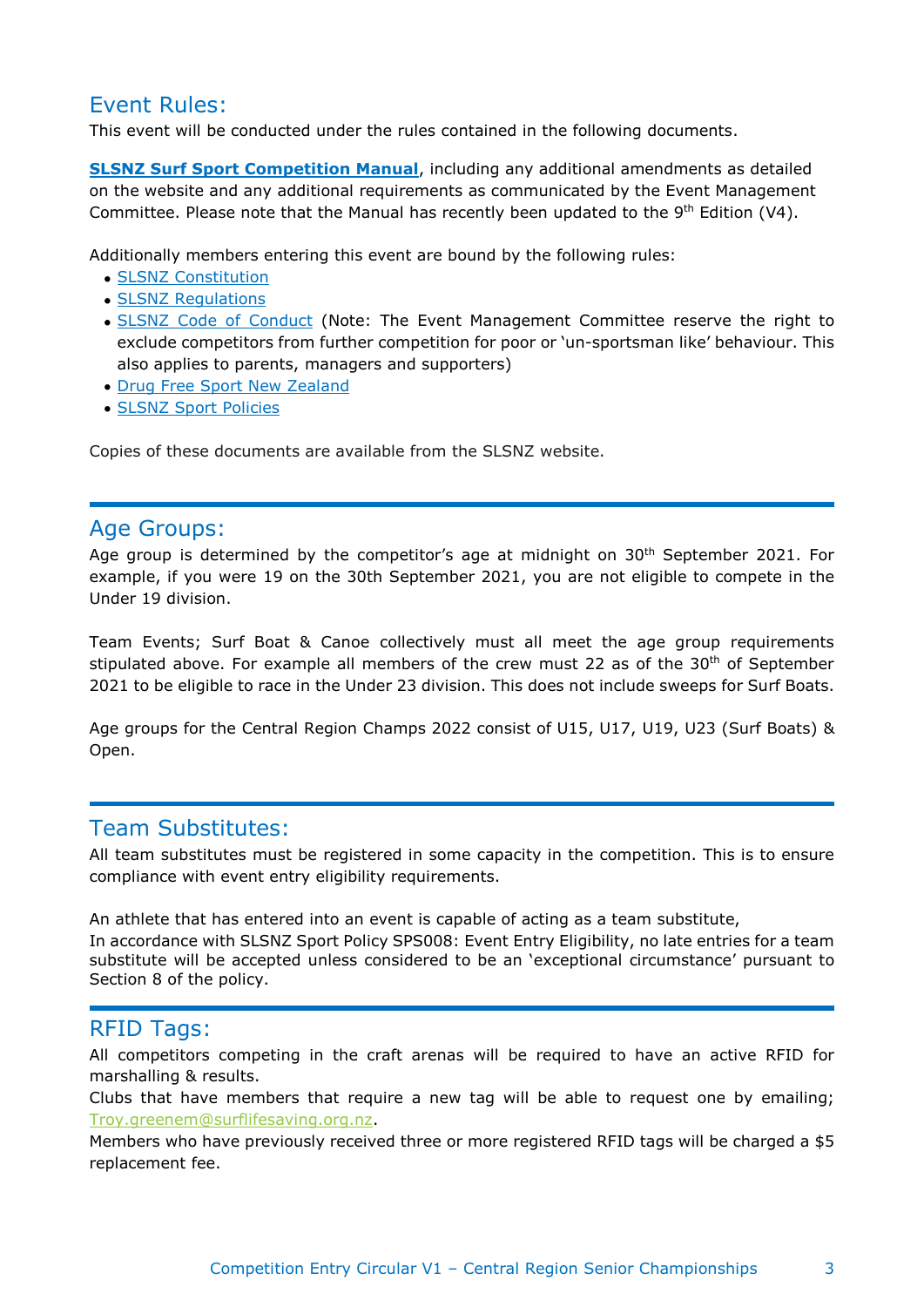# Event Rules:

This event will be conducted under the rules contained in the following documents.

**SLSNZ Surf Sport [Competition](https://www.yumpu.com/en/document/read/63543986/competition-manual-9th-edition-v4) Manual**, including any additional amendments as detailed on the website and any additional requirements as communicated by the Event Management Committee. Please note that the Manual has recently been updated to the  $9<sup>th</sup>$  Edition (V4).

Additionally members entering this event are bound by the following rules:

- SLSNZ [Constitution](https://www.surflifesaving.org.nz/about-us/governance/constitution)
- SLSNZ [Regulations](https://www.surflifesaving.org.nz/about-us/key-documents/regulations)
- SLSNZ Code of [Conduct](https://slsnz-prod-au-public-admin.azurewebsites.net/media/262487/201312_slsnzregs_05_memberprotection.pdf) (Note: The Event Management Committee reserve the right to exclude competitors from further competition for poor or 'un-sportsman like' behaviour. This also applies to parents, managers and supporters)
- Drug Free Sport New [Zealand](https://www.surflifesaving.org.nz/sport/high-performance/athlete-tool-box/drug-free-sport)
- [SLSNZ Sport Policies](https://www.surflifesaving.org.nz/sport/high-performance/athlete-tool-box/drug-free-sport)

Copies of these documents are available from the SLSNZ website.

# Age Groups:

Age group is determined by the competitor's age at midnight on 30<sup>th</sup> September 2021. For example, if you were 19 on the 30th September 2021, you are not eligible to compete in the Under 19 division.

Team Events; Surf Boat & Canoe collectively must all meet the age group requirements stipulated above. For example all members of the crew must 22 as of the 30<sup>th</sup> of September 2021 to be eligible to race in the Under 23 division. This does not include sweeps for Surf Boats.

Age groups for the Central Region Champs 2022 consist of U15, U17, U19, U23 (Surf Boats) & Open.

# Team Substitutes:

All team substitutes must be registered in some capacity in the competition. This is to ensure compliance with event entry eligibility requirements.

An athlete that has entered into an event is capable of acting as a team substitute,

In accordance with SLSNZ Sport Policy SPS008: Event Entry Eligibility, no late entries for a team substitute will be accepted unless considered to be an 'exceptional circumstance' pursuant to Section 8 of the policy.

# **RFID Tags:**

All competitors competing in the craft arenas will be required to have an active RFID for marshalling & results.

Clubs that have members that require a new tag will be able to request one by emailing; [Troy.greenem@surflifesaving.org.nz.](mailto:Troy.greenem@surflifesaving.org.nz)

Members who have previously received three or more registered RFID tags will be charged a \$5 replacement fee.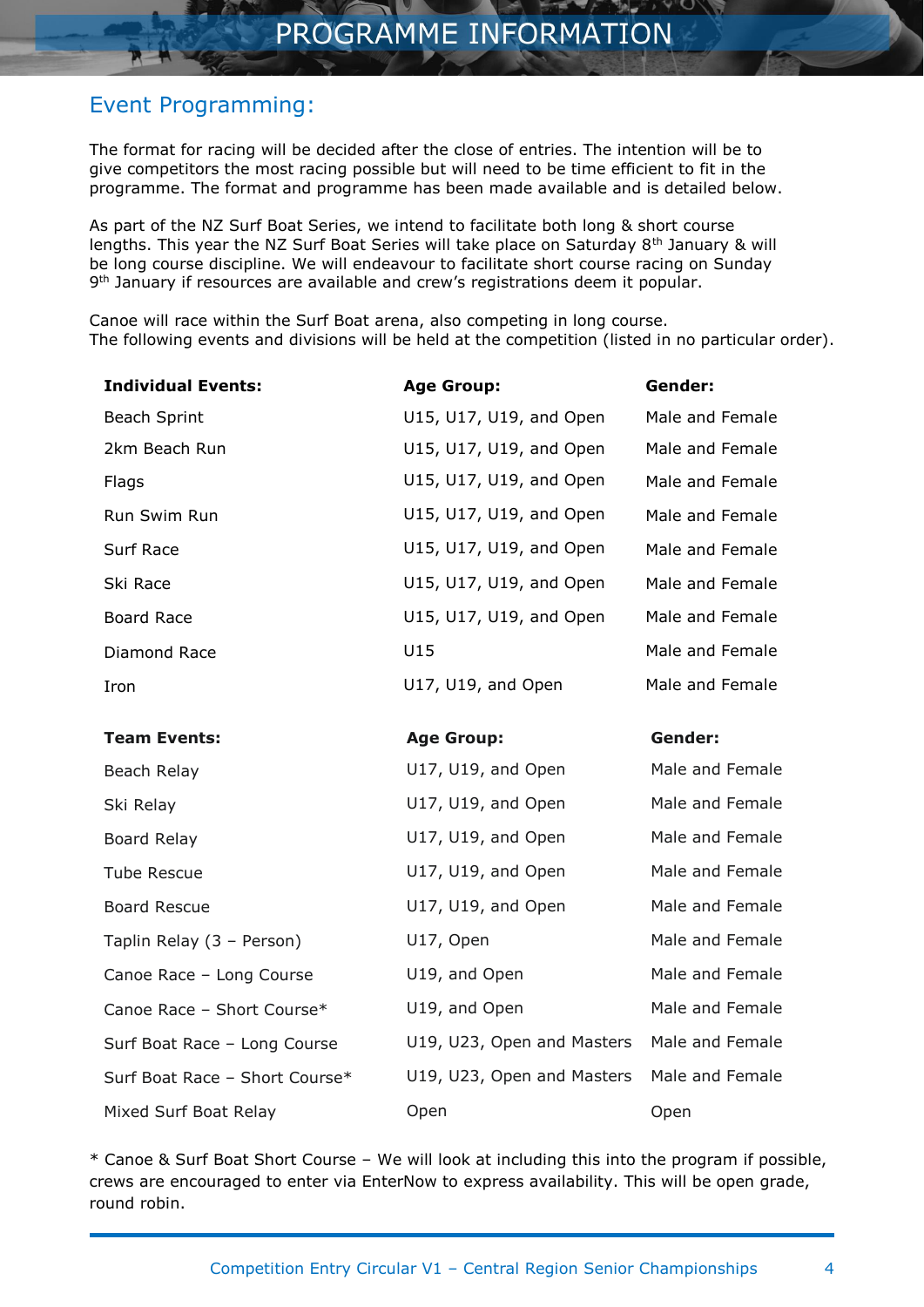# Event Programming:

The format for racing will be decided after the close of entries. The intention will be to give competitors the most racing possible but will need to be time efficient to fit in the programme. The format and programme has been made available and is detailed below.

As part of the NZ Surf Boat Series, we intend to facilitate both long & short course lengths. This year the NZ Surf Boat Series will take place on Saturday 8<sup>th</sup> January & will be long course discipline. We will endeavour to facilitate short course racing on Sunday 9<sup>th</sup> January if resources are available and crew's registrations deem it popular.

Canoe will race within the Surf Boat arena, also competing in long course. The following events and divisions will be held at the competition (listed in no particular order).

| <b>Individual Events:</b>      | <b>Age Group:</b>          | Gender:         |
|--------------------------------|----------------------------|-----------------|
| <b>Beach Sprint</b>            | U15, U17, U19, and Open    | Male and Female |
| 2km Beach Run                  | U15, U17, U19, and Open    | Male and Female |
| Flags                          | U15, U17, U19, and Open    | Male and Female |
| Run Swim Run                   | U15, U17, U19, and Open    | Male and Female |
| Surf Race                      | U15, U17, U19, and Open    | Male and Female |
| Ski Race                       | U15, U17, U19, and Open    | Male and Female |
| <b>Board Race</b>              | U15, U17, U19, and Open    | Male and Female |
| Diamond Race                   | U15                        | Male and Female |
| Iron                           | U17, U19, and Open         | Male and Female |
| <b>Team Events:</b>            | <b>Age Group:</b>          | Gender:         |
| Beach Relay                    | U17, U19, and Open         | Male and Female |
| Ski Relay                      | U17, U19, and Open         | Male and Female |
| Board Relay                    | U17, U19, and Open         | Male and Female |
| <b>Tube Rescue</b>             | U17, U19, and Open         | Male and Female |
| <b>Board Rescue</b>            | U17, U19, and Open         | Male and Female |
| Taplin Relay (3 - Person)      | U17, Open                  | Male and Female |
| Canoe Race - Long Course       | U19, and Open              | Male and Female |
| Canoe Race - Short Course*     | U19, and Open              | Male and Female |
| Surf Boat Race - Long Course   | U19, U23, Open and Masters | Male and Female |
| Surf Boat Race - Short Course* | U19, U23, Open and Masters | Male and Female |
| Mixed Surf Boat Relay          | Open                       | Open            |

\* Canoe & Surf Boat Short Course – We will look at including this into the program if possible, crews are encouraged to enter via EnterNow to express availability. This will be open grade, round robin.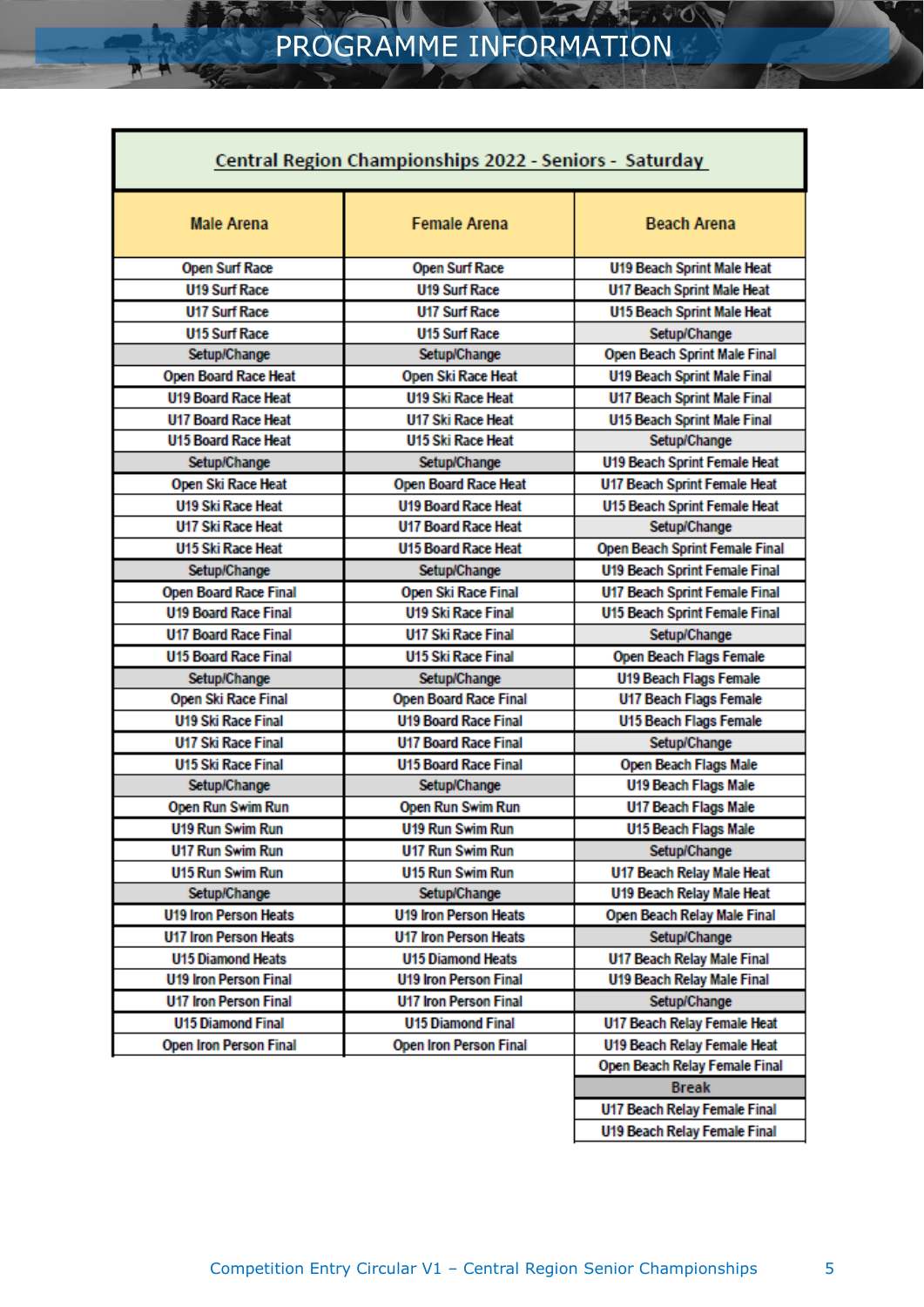| Central Region Championships 2022 - Seniors - Saturday |                               |                                      |  |
|--------------------------------------------------------|-------------------------------|--------------------------------------|--|
| <b>Male Arena</b>                                      | <b>Female Arena</b>           | <b>Beach Arena</b>                   |  |
| <b>Open Surf Race</b>                                  | <b>Open Surf Race</b>         | <b>U19 Beach Sprint Male Heat</b>    |  |
| <b>U19 Surf Race</b>                                   | <b>U19 Surf Race</b>          | <b>U17 Beach Sprint Male Heat</b>    |  |
| <b>U17 Surf Race</b>                                   | <b>U17 Surf Race</b>          | <b>U15 Beach Sprint Male Heat</b>    |  |
| <b>U15 Surf Race</b>                                   | <b>U15 Surf Race</b>          | Setup/Change                         |  |
| Setup/Change                                           | Setup/Change                  | Open Beach Sprint Male Final         |  |
| <b>Open Board Race Heat</b>                            | Open Ski Race Heat            | <b>U19 Beach Sprint Male Final</b>   |  |
| <b>U19 Board Race Heat</b>                             | <b>U19 Ski Race Heat</b>      | <b>U17 Beach Sprint Male Final</b>   |  |
| <b>U17 Board Race Heat</b>                             | <b>U17 Ski Race Heat</b>      | <b>U15 Beach Sprint Male Final</b>   |  |
| <b>U15 Board Race Heat</b>                             | <b>U15 Ski Race Heat</b>      | Setup/Change                         |  |
| Setup/Change                                           | Setup/Change                  | <b>U19 Beach Sprint Female Heat</b>  |  |
| Open Ski Race Heat                                     | Open Board Race Heat          | U17 Beach Sprint Female Heat         |  |
| <b>U19 Ski Race Heat</b>                               | <b>U19 Board Race Heat</b>    | U15 Beach Sprint Female Heat         |  |
| U17 Ski Race Heat                                      | <b>U17 Board Race Heat</b>    | Setup/Change                         |  |
| U15 Ski Race Heat                                      | <b>U15 Board Race Heat</b>    | Open Beach Sprint Female Final       |  |
| Setup/Change                                           | Setup/Change                  | <b>U19 Beach Sprint Female Final</b> |  |
| Open Board Race Final                                  | Open Ski Race Final           | <b>U17 Beach Sprint Female Final</b> |  |
| <b>U19 Board Race Final</b>                            | <b>U19 Ski Race Final</b>     | <b>U15 Beach Sprint Female Final</b> |  |
| <b>U17 Board Race Final</b>                            | U17 Ski Race Final            | Setup/Change                         |  |
| <b>U15 Board Race Final</b>                            | <b>U15 Ski Race Final</b>     | Open Beach Flags Female              |  |
| Setup/Change                                           | Setup/Change                  | <b>U19 Beach Flags Female</b>        |  |
| Open Ski Race Final                                    | Open Board Race Final         | U17 Beach Flags Female               |  |
| <b>U19 Ski Race Final</b>                              | <b>U19 Board Race Final</b>   | <b>U15 Beach Flags Female</b>        |  |
| U17 Ski Race Final                                     | <b>U17 Board Race Final</b>   | Setup/Change                         |  |
| U15 Ski Race Final                                     | <b>U15 Board Race Final</b>   | Open Beach Flags Male                |  |
| Setup/Change                                           | Setup/Change                  | U19 Beach Flags Male                 |  |
| Open Run Swim Run                                      | Open Run Swim Run             | U17 Beach Flags Male                 |  |
| <b>U19 Run Swim Run</b>                                | <b>U19 Run Swim Run</b>       | U15 Beach Flags Male                 |  |
| <b>U17 Run Swim Run</b>                                | <b>U17 Run Swim Run</b>       | Setup/Change                         |  |
| U15 Run Swim Run                                       | <b>U15 Run Swim Run</b>       | U17 Beach Relay Male Heat            |  |
| Setup/Change                                           | Setup/Change                  | U19 Beach Relay Male Heat            |  |
| <b>U19 Iron Person Heats</b>                           | <b>U19 Iron Person Heats</b>  | Open Beach Relay Male Final          |  |
| <b>U17 Iron Person Heats</b>                           | U17 Iron Person Heats         | Setup/Change                         |  |
| <b>U15 Diamond Heats</b>                               | <b>U15 Diamond Heats</b>      | U17 Beach Relay Male Final           |  |
| <b>U19 Iron Person Final</b>                           | <b>U19 Iron Person Final</b>  | <b>U19 Beach Relay Male Final</b>    |  |
| <b>U17 Iron Person Final</b>                           | U17 Iron Person Final         | Setup/Change                         |  |
| <b>U15 Diamond Final</b>                               | <b>U15 Diamond Final</b>      | U17 Beach Relay Female Heat          |  |
| <b>Open Iron Person Final</b>                          | <b>Open Iron Person Final</b> | <b>U19 Beach Relay Female Heat</b>   |  |
|                                                        |                               | Open Beach Relay Female Final        |  |
|                                                        |                               | <b>Break</b>                         |  |

U17 Beach Relay Female Final **U19 Beach Relay Female Final**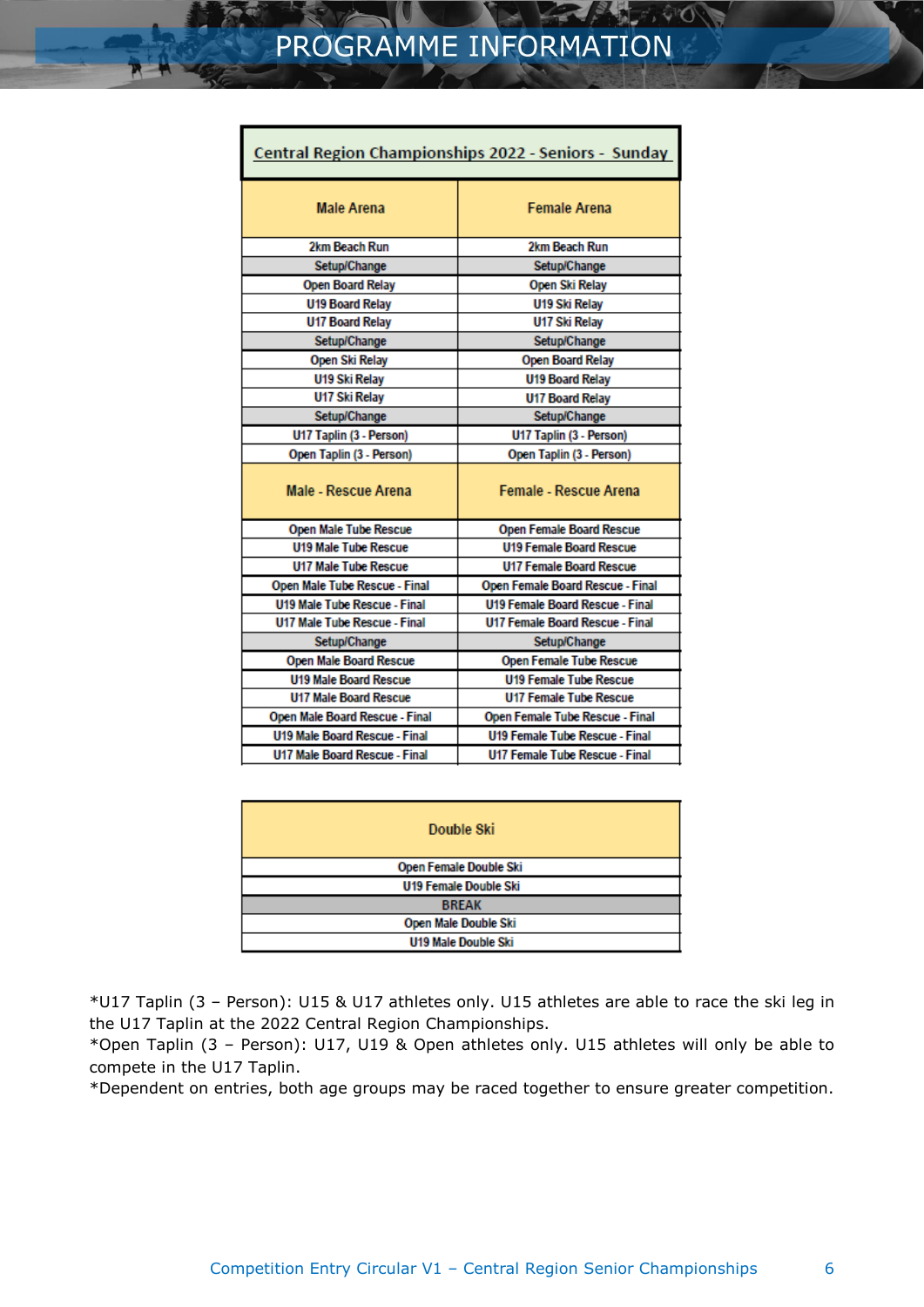| Central Region Championships 2022 - Seniors - Sunday |                                        |  |
|------------------------------------------------------|----------------------------------------|--|
| <b>Male Arena</b>                                    | <b>Female Arena</b>                    |  |
| 2km Beach Run                                        | 2km Beach Run                          |  |
| Setup/Change                                         | Setup/Change                           |  |
| <b>Open Board Relay</b>                              | Open Ski Relay                         |  |
| <b>U19 Board Relay</b>                               | U19 Ski Relay                          |  |
| <b>U17 Board Relay</b>                               | U17 Ski Relay                          |  |
| Setup/Change                                         | <b>Setup/Change</b>                    |  |
| Open Ski Relay                                       | <b>Open Board Relay</b>                |  |
| U19 Ski Relay                                        | <b>U19 Board Relay</b>                 |  |
| U17 Ski Relay                                        | <b>U17 Board Relay</b>                 |  |
| Setup/Change                                         | Setup/Change                           |  |
| U17 Taplin (3 - Person)                              | U17 Taplin (3 - Person)                |  |
| Open Taplin (3 - Person)                             | Open Taplin (3 - Person)               |  |
| <b>Male - Rescue Arena</b>                           | <b>Female - Rescue Arena</b>           |  |
| Open Male Tube Rescue                                | Open Female Board Rescue               |  |
| <b>U19 Male Tube Rescue</b>                          | <b>U19 Female Board Rescue</b>         |  |
| <b>U17 Male Tube Rescue</b>                          | <b>U17 Female Board Rescue</b>         |  |
| Open Male Tube Rescue - Final                        | Open Female Board Rescue - Final       |  |
| <b>U19 Male Tube Rescue - Final</b>                  | <b>U19 Female Board Rescue - Final</b> |  |
| <b>U17 Male Tube Rescue - Final</b>                  | <b>U17 Female Board Rescue - Final</b> |  |
| Setup/Change                                         | Setup/Change                           |  |
| <b>Open Male Board Rescue</b>                        | <b>Open Female Tube Rescue</b>         |  |
| <b>U19 Male Board Rescue</b>                         | <b>U19 Female Tube Rescue</b>          |  |
| <b>U17 Male Board Rescue</b>                         | <b>U17 Female Tube Rescue</b>          |  |
| Open Male Board Rescue - Final                       | Open Female Tube Rescue - Final        |  |
| <b>U19 Male Board Rescue - Final</b>                 | <b>U19 Female Tube Rescue - Final</b>  |  |
| <b>U17 Male Board Rescue - Final</b>                 | <b>U17 Female Tube Rescue - Final</b>  |  |

| Double Ski                   |  |
|------------------------------|--|
| Open Female Double Ski       |  |
| <b>U19 Female Double Ski</b> |  |
| <b>BREAK</b>                 |  |
| Open Male Double Ski         |  |
| U19 Male Double Ski          |  |

\*U17 Taplin (3 – Person): U15 & U17 athletes only. U15 athletes are able to race the ski leg in the U17 Taplin at the 2022 Central Region Championships.

\*Open Taplin (3 – Person): U17, U19 & Open athletes only. U15 athletes will only be able to compete in the U17 Taplin.

\*Dependent on entries, both age groups may be raced together to ensure greater competition.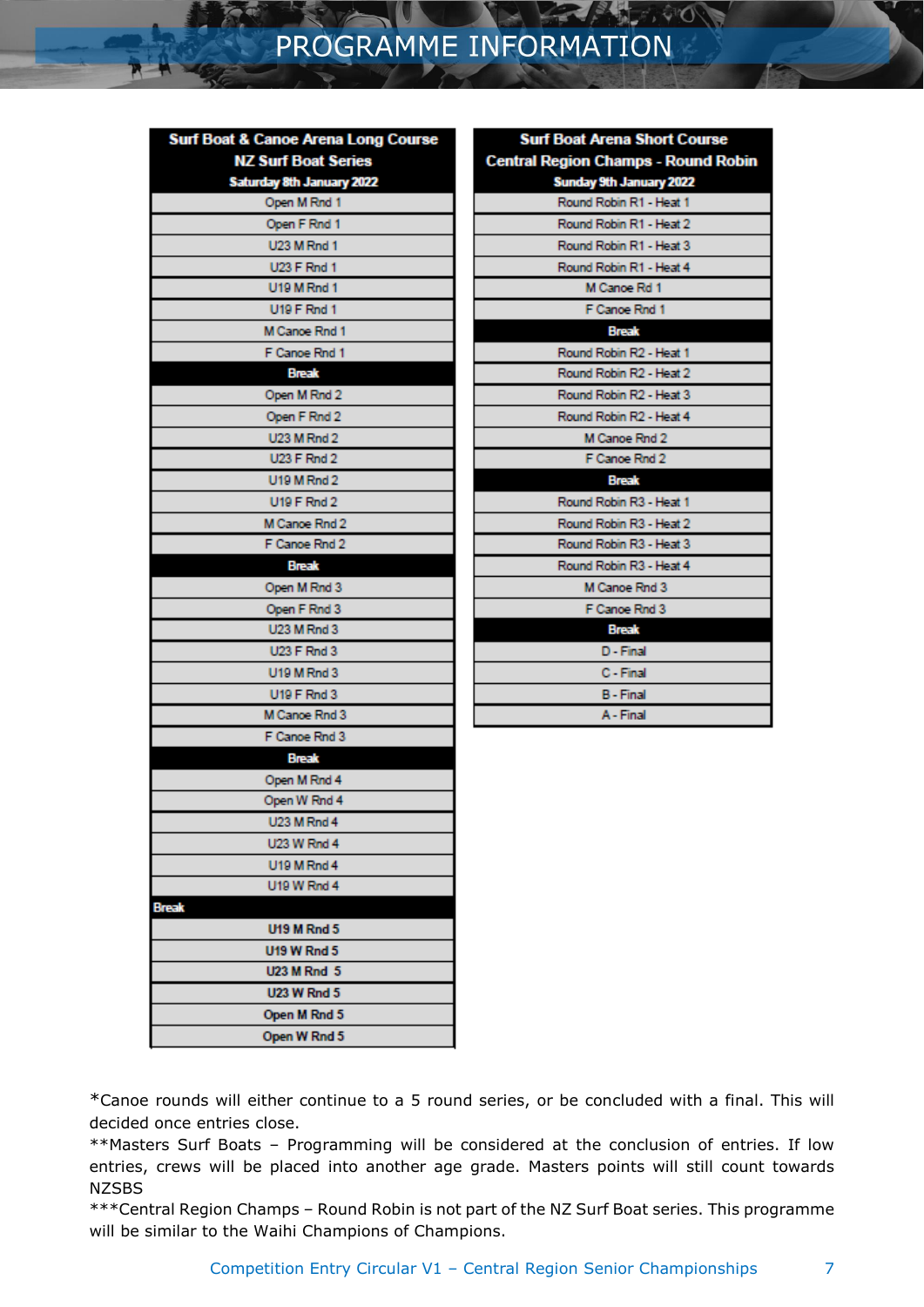# PROGRAMME INFORMATION

| <b>Surf Boat &amp; Canoe Arena Long Course</b> |  |
|------------------------------------------------|--|
| <b>NZ Surf Boat Series</b>                     |  |
| Saturday 8th January 2022                      |  |
| Open M Rnd 1                                   |  |
| Open F Rnd 1                                   |  |
| <b>U23 M Rnd 1</b>                             |  |
| <b>U23 F Rnd 1</b>                             |  |
| <b>U19 M Rnd 1</b>                             |  |
| <b>U19 F Rnd 1</b>                             |  |
| M Cance Rnd 1                                  |  |
| F Canoe Rnd 1                                  |  |
| <b>Break</b>                                   |  |
| Open M Rnd 2                                   |  |
| Open F Rnd 2                                   |  |
| U23 M Rnd 2                                    |  |
| U23 F Rnd 2                                    |  |
| U19 M Rnd 2                                    |  |
| <b>U19 F Rnd 2</b>                             |  |
| M Canoe Rnd 2                                  |  |
| F Canoe Rnd 2                                  |  |
| <b>Break</b>                                   |  |
| Open M Rnd 3                                   |  |
| Open F Rnd 3                                   |  |
| U23 M Rnd 3                                    |  |
| <b>U23 F Rnd 3</b>                             |  |
| U19 M Rnd 3                                    |  |
| U19 F Rnd 3                                    |  |
| M Cance Rnd 3                                  |  |
| F Canoe Rnd 3                                  |  |
| <b>Break</b>                                   |  |
| Open M Rnd 4                                   |  |
| Open W Rnd 4                                   |  |
| <b>U23 M Rnd 4</b>                             |  |
| <b>U23 W Rnd 4</b>                             |  |
| U19 M Rnd 4                                    |  |
| U19 W Rnd 4                                    |  |
| <b>Break</b>                                   |  |
| <b>U19 M Rnd 5</b>                             |  |
| <b>U19 W Rnd 5</b>                             |  |
| <b>U23 M Rnd 5</b>                             |  |
| <b>U23 W Rnd 5</b>                             |  |
| Open M Rnd 5                                   |  |
| Open W Rnd 5                                   |  |

| <b>Surf Boat Arena Short Course</b>        |  |
|--------------------------------------------|--|
| <b>Central Region Champs - Round Robin</b> |  |
| Sunday 9th January 2022                    |  |
| Round Robin R1 - Heat 1                    |  |
| Round Robin R1 - Heat 2                    |  |
| Round Robin R1 - Heat 3                    |  |
| Round Robin R1 - Heat 4                    |  |
| M Canoe Rd 1                               |  |
| F Canoe Rnd 1                              |  |
| <b>Break</b>                               |  |
| Round Robin R2 - Heat 1                    |  |
| Round Robin R2 - Heat 2                    |  |
| Round Robin R2 - Heat 3                    |  |
| Round Robin R2 - Heat 4                    |  |
| M Canoe Rnd 2                              |  |
| F Canoe Rnd 2                              |  |
| <b>Break</b>                               |  |
| Round Robin R3 - Heat 1                    |  |
| Round Robin R3 - Heat 2                    |  |
| Round Robin R3 - Heat 3                    |  |
| Round Robin R3 - Heat 4                    |  |
| M Canoe Rnd 3                              |  |
| F Canoe Rnd 3                              |  |
| <b>Break</b>                               |  |
| $D$ - Final                                |  |
| C - Final                                  |  |
| <b>B</b> - Final                           |  |
| A - Final                                  |  |

\*Canoe rounds will either continue to a 5 round series, or be concluded with a final. This will decided once entries close.

\*\*Masters Surf Boats – Programming will be considered at the conclusion of entries. If low entries, crews will be placed into another age grade. Masters points will still count towards **NZSBS** 

\*\*\*Central Region Champs – Round Robin is not part of the NZ Surf Boat series. This programme will be similar to the Waihi Champions of Champions.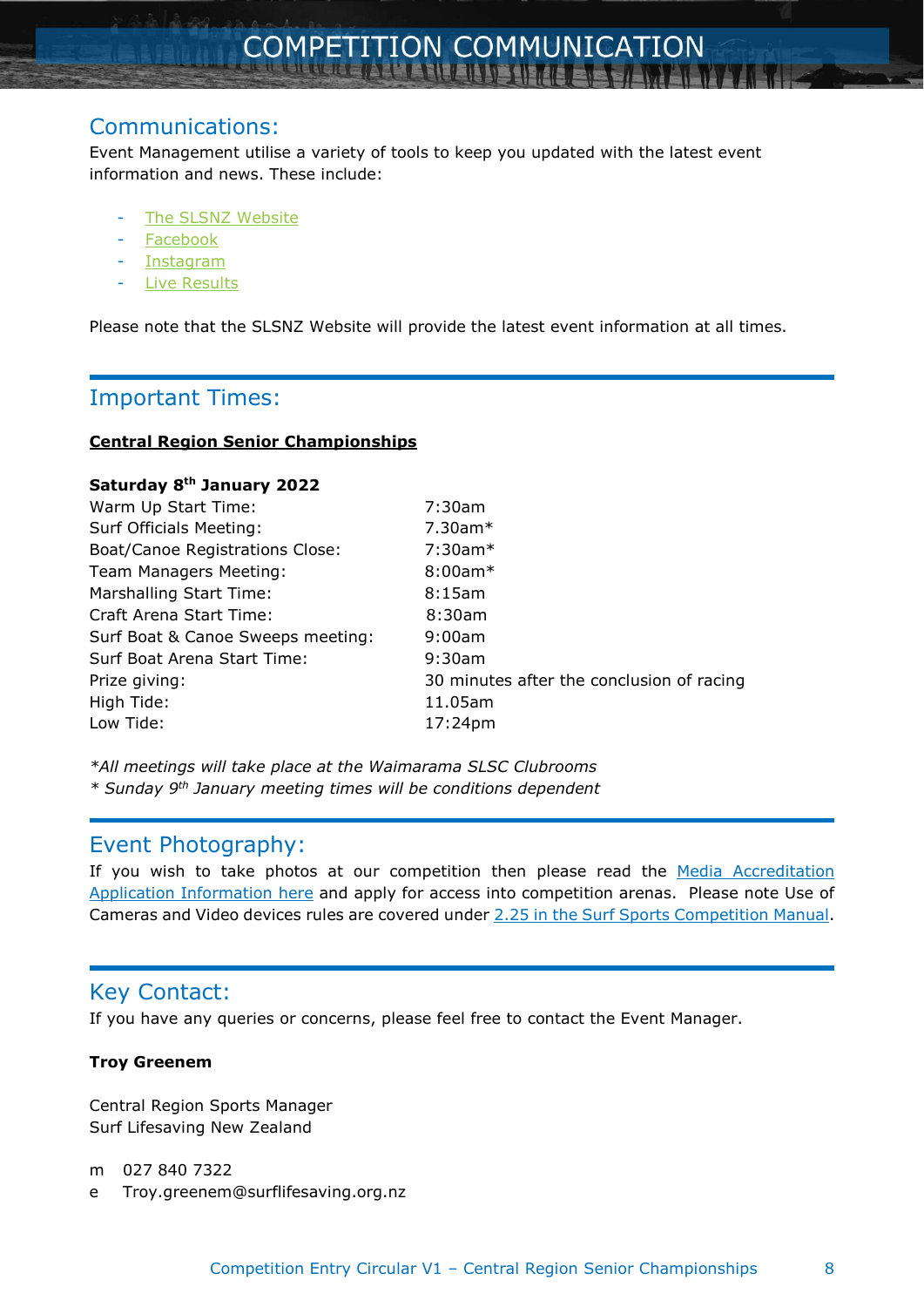# Communications:

Event Management utilise a variety of tools to keep you updated with the latest event information and news. These include:

- The SLSNZ [Website](https://www.surflifesaving.org.nz/calendar/2022/january/2022-central-regional-championships-crc)
- [Facebook](https://www.facebook.com/events/445803496861194/?active_tab=discussion)
- [Instagram](https://www.instagram.com/slsnzsport/)
- Live [Results](https://liveresults.co.nz/sls)

Please note that the SLSNZ Website will provide the latest event information at all times.

# Important Times:

#### **Central Region Senior Championships**

| Saturday 8th January 2022              |                                           |
|----------------------------------------|-------------------------------------------|
| Warm Up Start Time:                    | 7:30am                                    |
| Surf Officials Meeting:                | $7.30$ am $*$                             |
| <b>Boat/Canoe Registrations Close:</b> | $7:30$ am $*$                             |
| Team Managers Meeting:                 | $8:00am*$                                 |
| Marshalling Start Time:                | $8:15$ am                                 |
| Craft Arena Start Time:                | 8:30am                                    |
| Surf Boat & Canoe Sweeps meeting:      | 9:00am                                    |
| Surf Boat Arena Start Time:            | 9:30am                                    |
| Prize giving:                          | 30 minutes after the conclusion of racing |
| High Tide:                             | 11.05am                                   |
| Low Tide:                              | 17:24pm                                   |

*\*All meetings will take place at the Waimarama SLSC Clubrooms \* Sunday 9 th January meeting times will be conditions dependent*

# Event Photography:

If you wish to take photos at our competition then please read the Media [Accreditation](https://www.surflifesaving.org.nz/media/989689/media-accreditation-application-information.pdf) Application [Information](https://www.surflifesaving.org.nz/media/989689/media-accreditation-application-information.pdf) here and apply for access into competition arenas. Please note Use of Cameras and Video devices rules are covered under 2.25 in the Surf Sports [Competition](https://www.surflifesaving.org.nz/media/989135/slsnzsurfsportcompetitionmanual_9th-edition-v3_final.pdf) Manual.

# Key Contact:

If you have any queries or concerns, please feel free to contact the Event Manager.

#### **Troy Greenem**

Central Region Sports Manager Surf Lifesaving New Zealand

m 027 840 7322

e Troy.greenem@surflifesaving.org.nz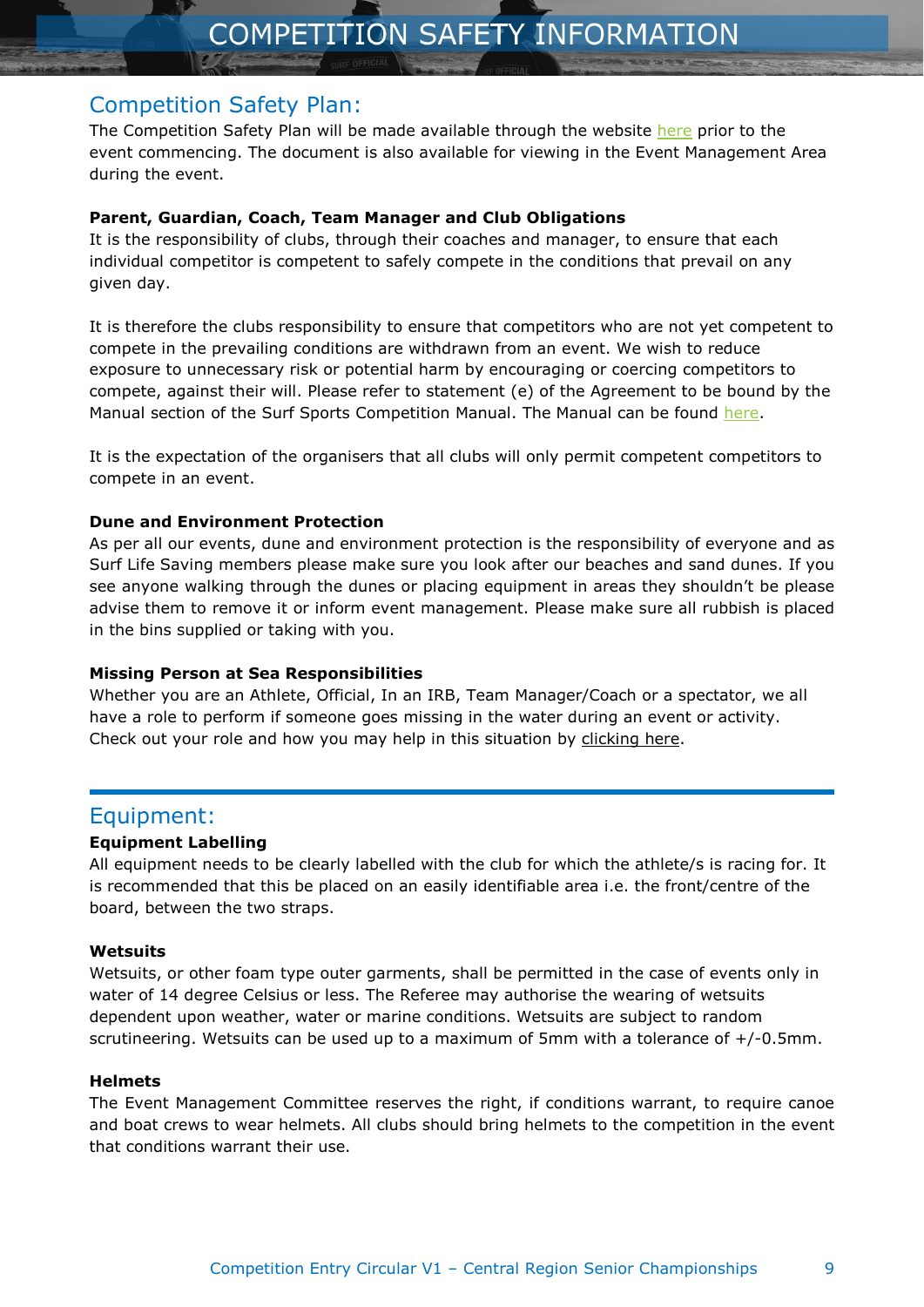# Competition Safety Plan:

The Competition Safety Plan will be made available through the website [here](https://www.surflifesaving.org.nz/calendar/2021/january/central-region-championships-crc-crjc) prior to the event commencing. The document is also available for viewing in the Event Management Area during the event.

#### **Parent, Guardian, Coach, Team Manager and Club Obligations**

It is the responsibility of clubs, through their coaches and manager, to ensure that each individual competitor is competent to safely compete in the conditions that prevail on any given day.

It is therefore the clubs responsibility to ensure that competitors who are not yet competent to compete in the prevailing conditions are withdrawn from an event. We wish to reduce exposure to unnecessary risk or potential harm by encouraging or coercing competitors to compete, against their will. Please refer to statement (e) of the Agreement to be bound by the Manual section of the Surf Sports Competition Manual. The Manual can be found [here.](https://www.yumpu.com/en/document/read/63543986/competition-manual-9th-edition-v4)

It is the expectation of the organisers that all clubs will only permit competent competitors to compete in an event.

#### **Dune and Environment Protection**

As per all our events, dune and environment protection is the responsibility of everyone and as Surf Life Saving members please make sure you look after our beaches and sand dunes. If you see anyone walking through the dunes or placing equipment in areas they shouldn't be please advise them to remove it or inform event management. Please make sure all rubbish is placed in the bins supplied or taking with you.

#### **Missing Person at Sea Responsibilities**

Whether you are an Athlete, Official, In an IRB, Team Manager/Coach or a spectator, we all have a role to perform if someone goes missing in the water during an event or activity. Check out your role and how you may help in this situation by [clicking](https://www.surflifesaving.org.nz/media/989694/slsnz_missingpersonatsea.pdf) here.

# Equipment:

#### **Equipment Labelling**

All equipment needs to be clearly labelled with the club for which the athlete/s is racing for. It is recommended that this be placed on an easily identifiable area i.e. the front/centre of the board, between the two straps.

#### **Wetsuits**

Wetsuits, or other foam type outer garments, shall be permitted in the case of events only in water of 14 degree Celsius or less. The Referee may authorise the wearing of wetsuits dependent upon weather, water or marine conditions. Wetsuits are subject to random scrutineering. Wetsuits can be used up to a maximum of 5mm with a tolerance of +/-0.5mm.

#### **Helmets**

The Event Management Committee reserves the right, if conditions warrant, to require canoe and boat crews to wear helmets. All clubs should bring helmets to the competition in the event that conditions warrant their use.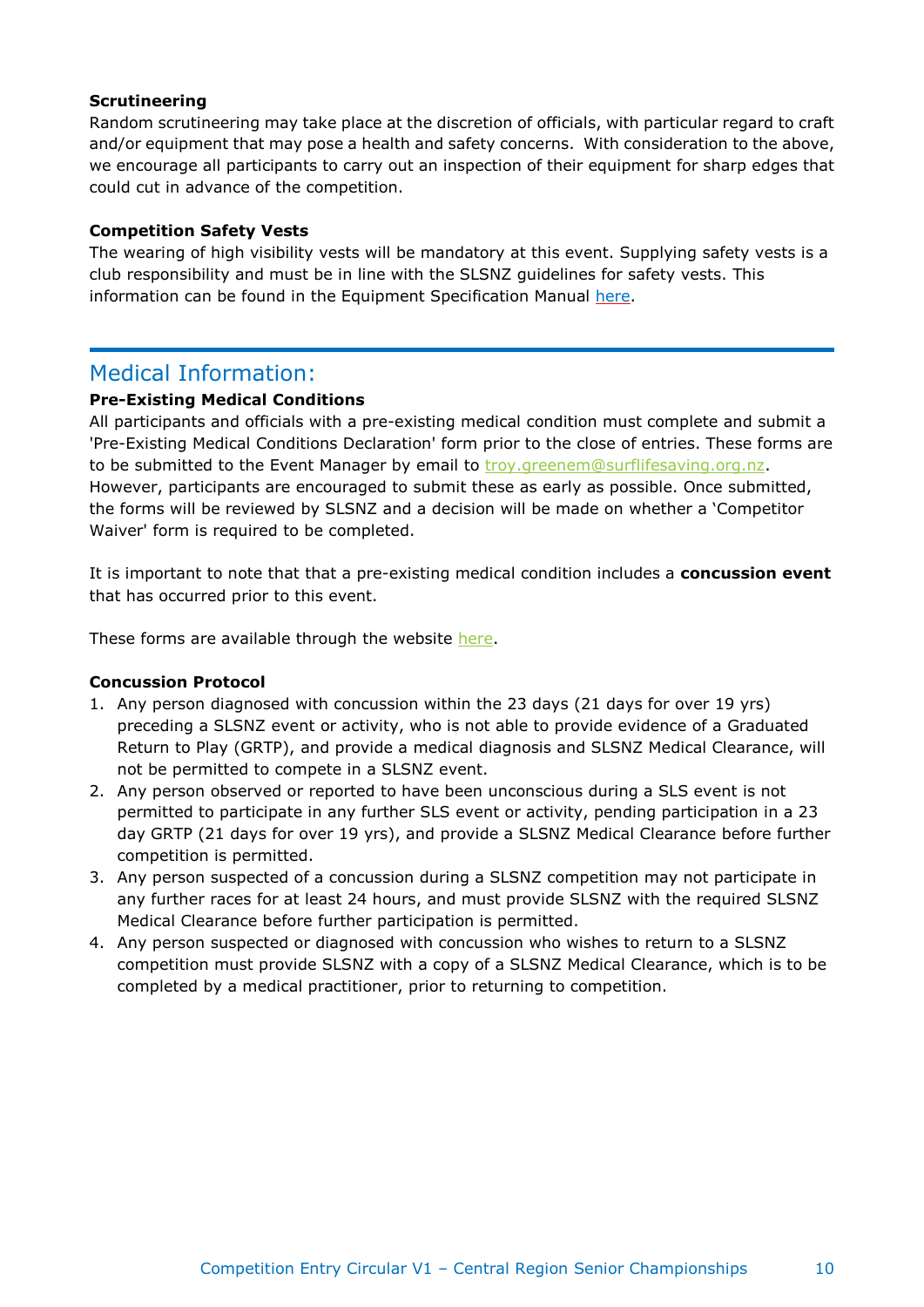#### **Scrutineering**

Random scrutineering may take place at the discretion of officials, with particular regard to craft and/or equipment that may pose a health and safety concerns. With consideration to the above, we encourage all participants to carry out an inspection of their equipment for sharp edges that could cut in advance of the competition.

#### **Competition Safety Vests**

The wearing of high visibility vests will be mandatory at this event. Supplying safety vests is a club responsibility and must be in line with the SLSNZ guidelines for safety vests. This information can be found in the Equipment Specification Manual [here.](https://www.surflifesaving.org.nz/media/989240/slsnzsurfsportcompetitionmanual_9th-edition-v3_section-12_equipmentspecificationmanual.pdf)

# Medical Information:

#### **Pre-Existing Medical Conditions**

All participants and officials with a pre-existing medical condition must complete and submit a 'Pre-Existing Medical Conditions Declaration' form prior to the close of entries. These forms are to be submitted to the Event Manager by email to [troy.greenem@surflifesaving.org.nz.](mailto:troy.greenem@surflifesaving.org.nz) However, participants are encouraged to submit these as early as possible. Once submitted, the forms will be reviewed by SLSNZ and a decision will be made on whether a 'Competitor Waiver' form is required to be completed.

It is important to note that that a pre-existing medical condition includes a **concussion event** that has occurred prior to this event.

These forms are available through the website [here.](https://www.surflifesaving.org.nz/media/987656/pre-existing-medical-conditions-declaration-form.pdf)

#### **Concussion Protocol**

- 1. Any person diagnosed with concussion within the 23 days (21 days for over 19 yrs) preceding a SLSNZ event or activity, who is not able to provide evidence of a Graduated Return to Play (GRTP), and provide a medical diagnosis and SLSNZ Medical Clearance, will not be permitted to compete in a SLSNZ event.
- 2. Any person observed or reported to have been unconscious during a SLS event is not permitted to participate in any further SLS event or activity, pending participation in a 23 day GRTP (21 days for over 19 yrs), and provide a SLSNZ Medical Clearance before further competition is permitted.
- 3. Any person suspected of a concussion during a SLSNZ competition may not participate in any further races for at least 24 hours, and must provide SLSNZ with the required SLSNZ Medical Clearance before further participation is permitted.
- 4. Any person suspected or diagnosed with concussion who wishes to return to a SLSNZ competition must provide SLSNZ with a copy of a SLSNZ Medical Clearance, which is to be completed by a medical practitioner, prior to returning to competition.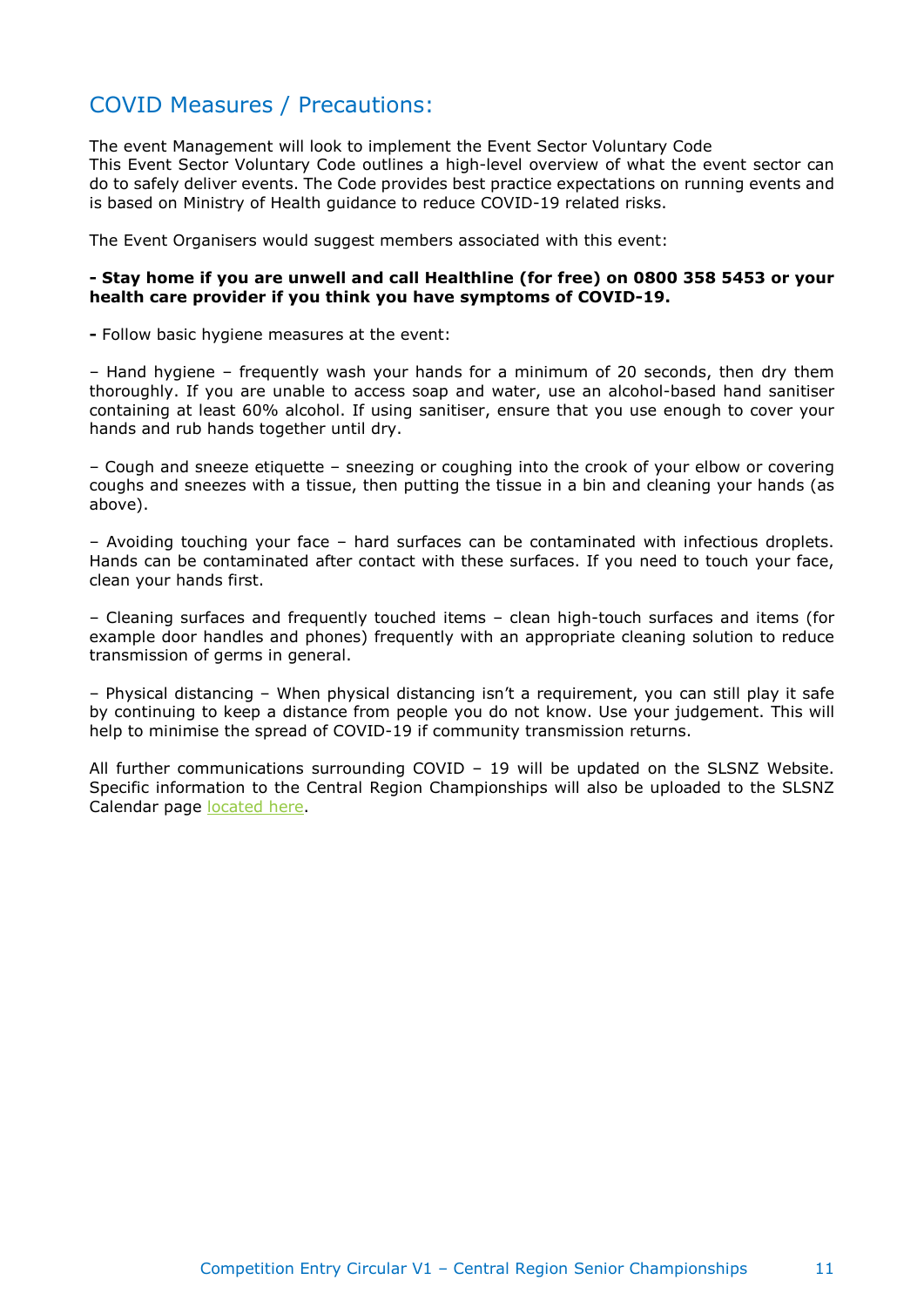# COVID Measures / Precautions:

The event Management will look to implement the Event Sector Voluntary Code This Event Sector Voluntary Code outlines a high-level overview of what the event sector can do to safely deliver events. The Code provides best practice expectations on running events and is based on Ministry of Health guidance to reduce COVID-19 related risks.

The Event Organisers would suggest members associated with this event:

#### **- Stay home if you are unwell and call Healthline (for free) on 0800 358 5453 or your health care provider if you think you have symptoms of COVID-19.**

**-** Follow basic hygiene measures at the event:

– Hand hygiene – frequently wash your hands for a minimum of 20 seconds, then dry them thoroughly. If you are unable to access soap and water, use an alcohol-based hand sanitiser containing at least 60% alcohol. If using sanitiser, ensure that you use enough to cover your hands and rub hands together until dry.

– Cough and sneeze etiquette – sneezing or coughing into the crook of your elbow or covering coughs and sneezes with a tissue, then putting the tissue in a bin and cleaning your hands (as above).

– Avoiding touching your face – hard surfaces can be contaminated with infectious droplets. Hands can be contaminated after contact with these surfaces. If you need to touch your face, clean your hands first.

– Cleaning surfaces and frequently touched items – clean high-touch surfaces and items (for example door handles and phones) frequently with an appropriate cleaning solution to reduce transmission of germs in general.

– Physical distancing – When physical distancing isn't a requirement, you can still play it safe by continuing to keep a distance from people you do not know. Use your judgement. This will help to minimise the spread of COVID-19 if community transmission returns.

All further communications surrounding COVID – 19 will be updated on the SLSNZ Website. Specific information to the Central Region Championships will also be uploaded to the SLSNZ Calendar page [located](https://www.surflifesaving.org.nz/calendar/2022/january/2022-central-regional-championships-crc) here.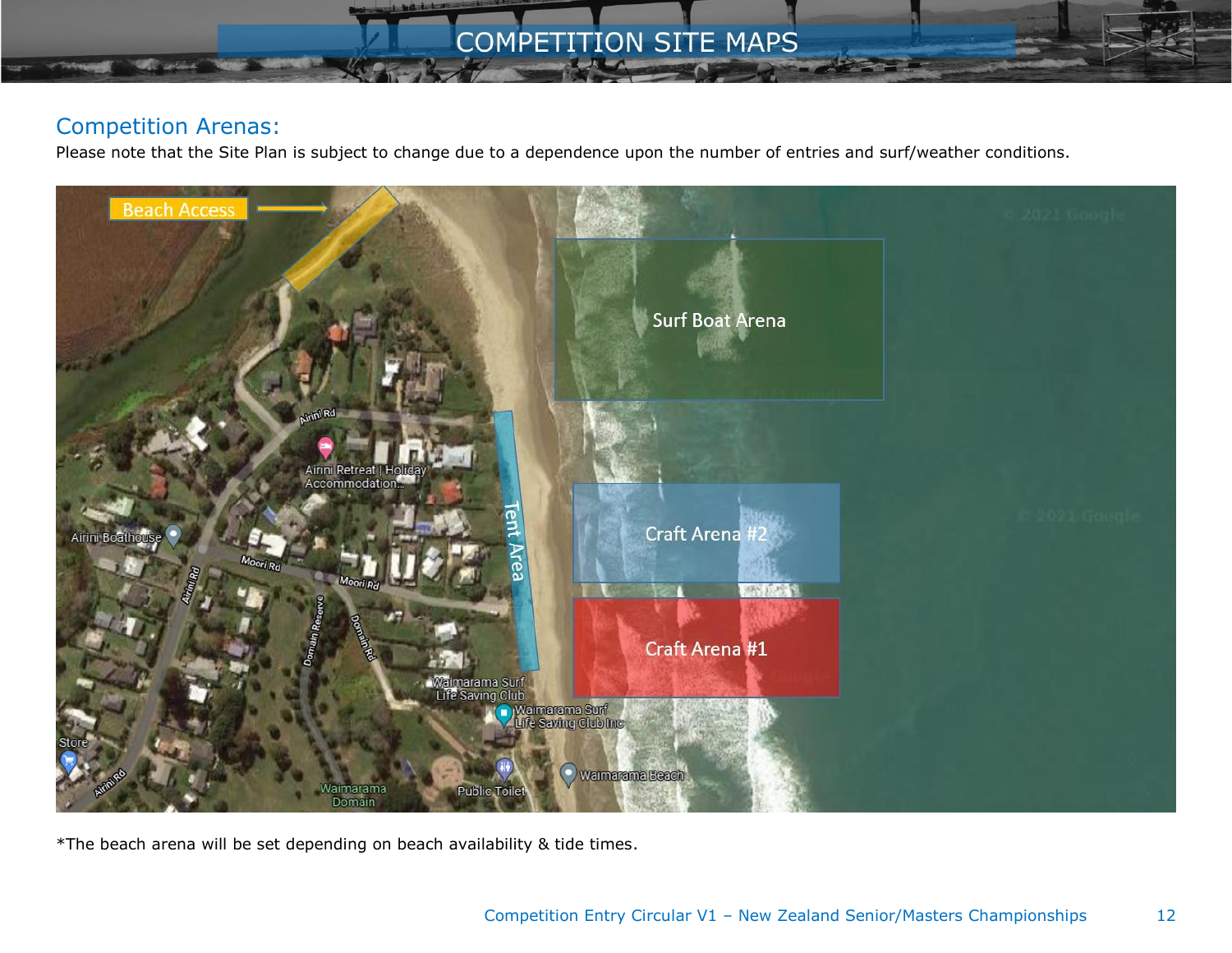# **COMPETITION SITE MAPS**

# Competition Arenas:

Please note that the Site Plan is subject to change due to a dependence upon the number of entries and surf/weather conditions.



\*The beach arena will be set depending on beach availability & tide times.